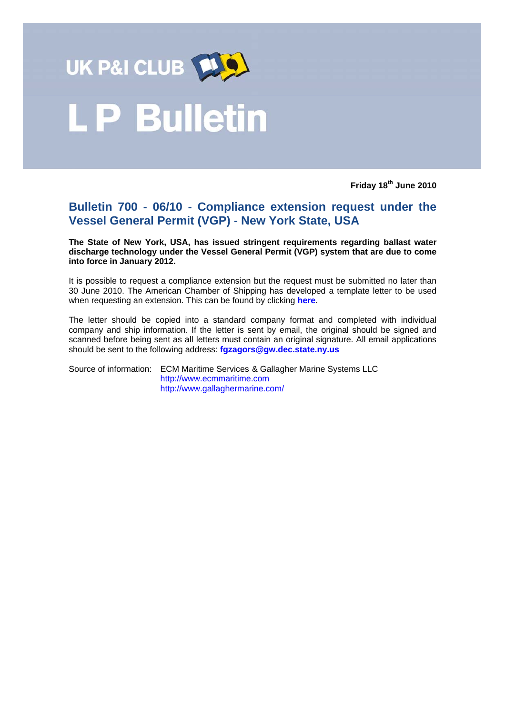

# **LP Bulletin**

**Friday 18th June 2010** 

# **Bulletin 700 - 06/10 - Compliance extension request under the Vessel General Permit (VGP) - New York State, USA**

**The State of New York, USA, has issued stringent requirements regarding ballast water discharge technology under the Vessel General Permit (VGP) system that are due to come into force in January 2012.** 

It is possible to request a compliance extension but the request must be submitted no later than 30 June 2010. The American Chamber of Shipping has developed a template letter to be used when requesting an extension. This can be found by clicking **[here](#page-1-0)**.

The letter should be copied into a standard company format and completed with individual company and ship information. If the letter is sent by email, the original should be signed and scanned before being sent as all letters must contain an original signature. All email applications should be sent to the following address: **fgzagors@gw.dec.state.ny.us** 

Source of information: ECM Maritime Services & Gallagher Marine Systems LLC http://www.ecmmaritime.com http://www.gallaghermarine.com/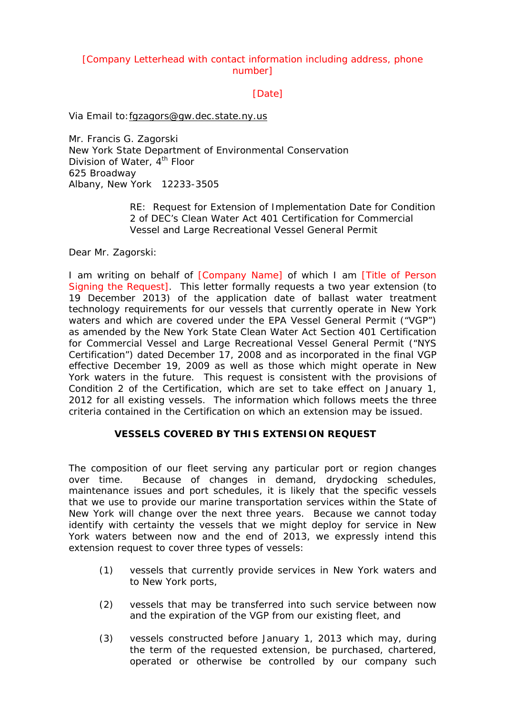# <span id="page-1-0"></span>[Company Letterhead with contact information including address, phone number]

[Date]

Via Email to:fgzagors@gw.dec.state.ny.us

Mr. Francis G. Zagorski New York State Department of Environmental Conservation Division of Water, 4<sup>th</sup> Floor 625 Broadway Albany, New York 12233-3505

> RE: Request for Extension of Implementation Date for Condition 2 of DEC's Clean Water Act 401 Certification for Commercial Vessel and Large Recreational Vessel General Permit

Dear Mr. Zagorski:

I am writing on behalf of [Company Name] of which I am [Title of Person Signing the Request]. This letter formally requests a two year extension (to 19 December 2013) of the application date of ballast water treatment technology requirements for our vessels that currently operate in New York waters and which are covered under the EPA Vessel General Permit ("VGP") as amended by the New York State Clean Water Act Section 401 Certification for Commercial Vessel and Large Recreational Vessel General Permit ("NYS Certification") dated December 17, 2008 and as incorporated in the final VGP effective December 19, 2009 as well as those which might operate in New York waters in the future. This request is consistent with the provisions of Condition 2 of the Certification, which are set to take effect on January 1, 2012 for all existing vessels. The information which follows meets the three criteria contained in the Certification on which an extension may be issued.

# **VESSELS COVERED BY THIS EXTENSION REQUEST**

The composition of our fleet serving any particular port or region changes over time. Because of changes in demand, drydocking schedules, maintenance issues and port schedules, it is likely that the specific vessels that we use to provide our marine transportation services within the State of New York will change over the next three years. Because we cannot today identify with certainty the vessels that we might deploy for service in New York waters between now and the end of 2013, we expressly intend this extension request to cover three types of vessels:

- (1) vessels that currently provide services in New York waters and to New York ports,
- (2) vessels that may be transferred into such service between now and the expiration of the VGP from our existing fleet, and
- (3) vessels constructed before January 1, 2013 which may, during the term of the requested extension, be purchased, chartered, operated or otherwise be controlled by our company such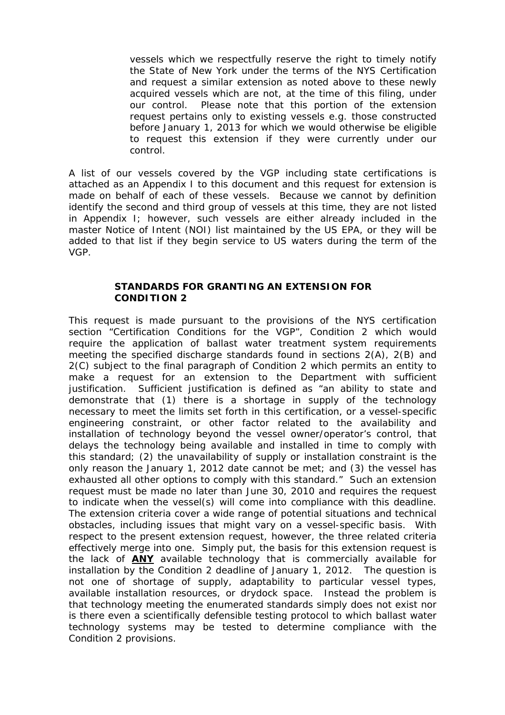vessels which we respectfully reserve the right to timely notify the State of New York under the terms of the NYS Certification and request a similar extension as noted above to these newly acquired vessels which are not, at the time of this filing, under our control. Please note that this portion of the extension request pertains only to existing vessels e.g. those constructed before January 1, 2013 for which we would otherwise be eligible to request this extension if they were currently under our control.

A list of our vessels covered by the VGP including state certifications is attached as an Appendix I to this document and this request for extension is made on behalf of each of these vessels. Because we cannot by definition identify the second and third group of vessels at this time, they are not listed in Appendix I; however, such vessels are either already included in the master Notice of Intent (NOI) list maintained by the US EPA, or they will be added to that list if they begin service to US waters during the term of the VGP.

#### **STANDARDS FOR GRANTING AN EXTENSION FOR CONDITION 2**

This request is made pursuant to the provisions of the NYS certification section "Certification Conditions for the VGP", Condition 2 which would require the application of ballast water treatment system requirements meeting the specified discharge standards found in sections 2(A), 2(B) and 2(C) subject to the final paragraph of Condition 2 which permits an entity to make a request for an extension to the Department with sufficient justification. Sufficient justification is defined as "an ability to state and demonstrate that (1) there is a shortage in supply of the technology necessary to meet the limits set forth in this certification, or a vessel-specific engineering constraint, or other factor related to the availability and installation of technology beyond the vessel owner/operator's control, that delays the technology being available and installed in time to comply with this standard; (2) the unavailability of supply or installation constraint is the only reason the January 1, 2012 date cannot be met; and (3) the vessel has exhausted all other options to comply with this standard." Such an extension request must be made no later than June 30, 2010 and requires the request to indicate when the vessel(s) will come into compliance with this deadline. The extension criteria cover a wide range of potential situations and technical obstacles, including issues that might vary on a vessel-specific basis. With respect to the present extension request, however, the three related criteria effectively merge into one. Simply put, the basis for this extension request is the lack of **ANY** available technology that is commercially available for installation by the Condition 2 deadline of January 1, 2012. The question is not one of shortage of supply, adaptability to particular vessel types, available installation resources, or drydock space. Instead the problem is that technology meeting the enumerated standards simply does not exist nor is there even a scientifically defensible testing protocol to which ballast water technology systems may be tested to determine compliance with the Condition 2 provisions.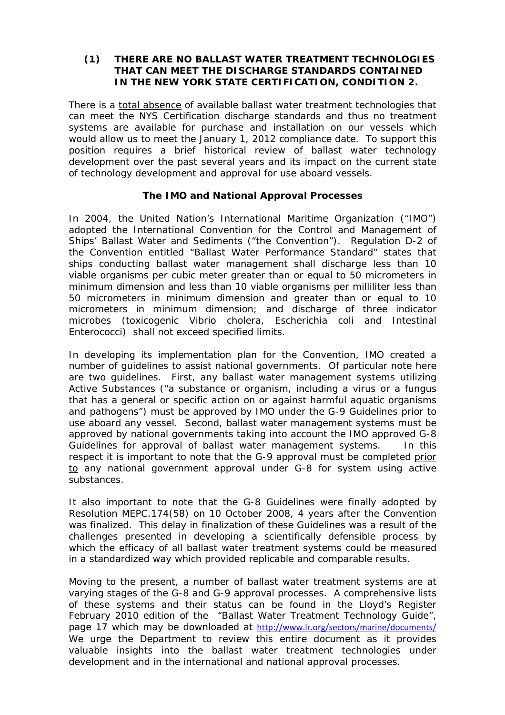#### **(1) THERE ARE NO BALLAST WATER TREATMENT TECHNOLOGIES THAT CAN MEET THE DISCHARGE STANDARDS CONTAINED IN THE NEW YORK STATE CERTIFICATION, CONDITION 2.**

There is a total absence of available ballast water treatment technologies that can meet the NYS Certification discharge standards and thus no treatment systems are available for purchase and installation on our vessels which would allow us to meet the January 1, 2012 compliance date. To support this position requires a brief historical review of ballast water technology development over the past several years and its impact on the current state of technology development and approval for use aboard vessels.

# **The IMO and National Approval Processes**

In 2004, the United Nation's International Maritime Organization ("IMO") adopted the International Convention for the Control and Management of Ships' Ballast Water and Sediments ("the Convention"). Regulation D-2 of the Convention entitled "Ballast Water Performance Standard" states that ships conducting ballast water management shall discharge less than 10 viable organisms per cubic meter greater than or equal to 50 micrometers in minimum dimension and less than 10 viable organisms per milliliter less than 50 micrometers in minimum dimension and greater than or equal to 10 micrometers in minimum dimension; and discharge of three indicator microbes (toxicogenic Vibrio cholera, Escherichia coli and Intestinal Enterococci) shall not exceed specified limits.

In developing its implementation plan for the Convention, IMO created a number of guidelines to assist national governments. Of particular note here are two guidelines. First, any ballast water management systems utilizing Active Substances ("a substance or organism, including a virus or a fungus that has a general or specific action on or against harmful aquatic organisms and pathogens") must be approved by IMO under the G-9 Guidelines prior to use aboard any vessel. Second, ballast water management systems must be approved by national governments taking into account the IMO approved G-8 Guidelines for approval of ballast water management systems. In this respect it is important to note that the G-9 approval must be completed prior to any national government approval under G-8 for system using active substances.

It also important to note that the G-8 Guidelines were finally adopted by Resolution MEPC.174(58) on 10 October 2008, 4 years after the Convention was finalized. This delay in finalization of these Guidelines was a result of the challenges presented in developing a scientifically defensible process by which the efficacy of all ballast water treatment systems could be measured in a standardized way which provided replicable and comparable results.

Moving to the present, a number of ballast water treatment systems are at varying stages of the G-8 and G-9 approval processes. A comprehensive lists of these systems and their status can be found in the Lloyd's Register February 2010 edition of the "Ballast Water Treatment Technology Guide", page 17 which may be downloaded at <http://www.lr.org/sectors/marine/documents/> We urge the Department to review this entire document as it provides valuable insights into the ballast water treatment technologies under development and in the international and national approval processes.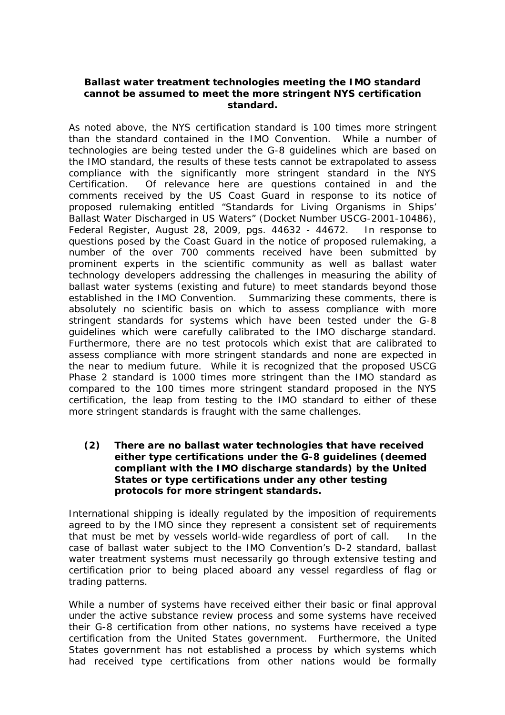### **Ballast water treatment technologies meeting the IMO standard cannot be assumed to meet the more stringent NYS certification standard.**

As noted above, the NYS certification standard is 100 times more stringent than the standard contained in the IMO Convention. While a number of technologies are being tested under the G-8 guidelines which are based on the IMO standard, the results of these tests cannot be extrapolated to assess compliance with the significantly more stringent standard in the NYS Certification. Of relevance here are questions contained in and the comments received by the US Coast Guard in response to its notice of proposed rulemaking entitled "Standards for Living Organisms in Ships' Ballast Water Discharged in US Waters" (Docket Number USCG-2001-10486), Federal Register, August 28, 2009, pgs. 44632 - 44672. In response to questions posed by the Coast Guard in the notice of proposed rulemaking, a number of the over 700 comments received have been submitted by prominent experts in the scientific community as well as ballast water technology developers addressing the challenges in measuring the ability of ballast water systems (existing and future) to meet standards beyond those established in the IMO Convention. Summarizing these comments, there is absolutely no scientific basis on which to assess compliance with more stringent standards for systems which have been tested under the G-8 guidelines which were carefully calibrated to the IMO discharge standard. Furthermore, there are no test protocols which exist that are calibrated to assess compliance with more stringent standards and none are expected in the near to medium future. While it is recognized that the proposed USCG Phase 2 standard is 1000 times more stringent than the IMO standard as compared to the 100 times more stringent standard proposed in the NYS certification, the leap from testing to the IMO standard to either of these more stringent standards is fraught with the same challenges.

### **(2) There are no ballast water technologies that have received either type certifications under the G-8 guidelines (deemed compliant with the IMO discharge standards) by the United States or type certifications under any other testing protocols for more stringent standards.**

International shipping is ideally regulated by the imposition of requirements agreed to by the IMO since they represent a consistent set of requirements that must be met by vessels world-wide regardless of port of call. In the case of ballast water subject to the IMO Convention's D-2 standard, ballast water treatment systems must necessarily go through extensive testing and certification prior to being placed aboard any vessel regardless of flag or trading patterns.

While a number of systems have received either their basic or final approval under the active substance review process and some systems have received their G-8 certification from other nations, no systems have received a type certification from the United States government. Furthermore, the United States government has not established a process by which systems which had received type certifications from other nations would be formally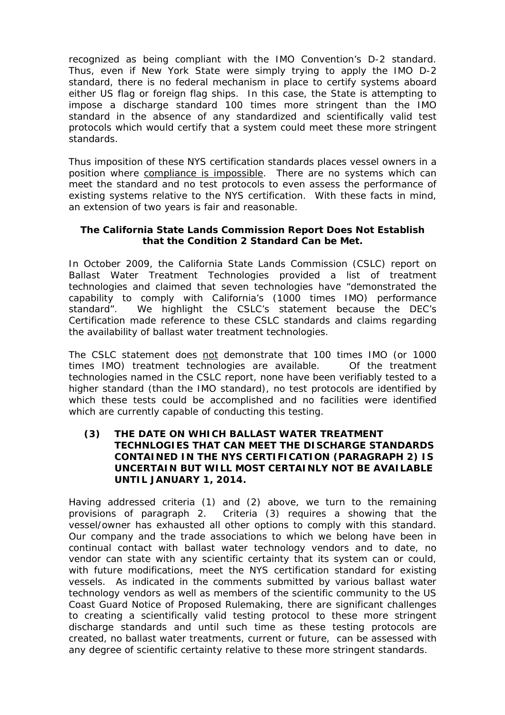recognized as being compliant with the IMO Convention's D-2 standard. Thus, even if New York State were simply trying to apply the IMO D-2 standard, there is no federal mechanism in place to certify systems aboard either US flag or foreign flag ships. In this case, the State is attempting to impose a discharge standard 100 times more stringent than the IMO standard in the absence of any standardized and scientifically valid test protocols which would certify that a system could meet these more stringent standards.

Thus imposition of these NYS certification standards places vessel owners in a position where compliance is impossible. There are no systems which can meet the standard and no test protocols to even assess the performance of existing systems relative to the NYS certification. With these facts in mind, an extension of two years is fair and reasonable.

# **The California State Lands Commission Report Does Not Establish that the Condition 2 Standard Can be Met.**

In October 2009, the California State Lands Commission (CSLC) report on Ballast Water Treatment Technologies provided a list of treatment technologies and claimed that seven technologies have "demonstrated the capability to comply with California's (1000 times IMO) performance standard". We highlight the CSLC's statement because the DEC's Certification made reference to these CSLC standards and claims regarding the availability of ballast water treatment technologies.

The CSLC statement does not demonstrate that 100 times IMO (or 1000 times IMO) treatment technologies are available. Of the treatment technologies named in the CSLC report, none have been verifiably tested to a higher standard (than the IMO standard), no test protocols are identified by which these tests could be accomplished and no facilities were identified which are currently capable of conducting this testing.

# **(3) THE DATE ON WHICH BALLAST WATER TREATMENT TECHNLOGIES THAT CAN MEET THE DISCHARGE STANDARDS CONTAINED IN THE NYS CERTIFICATION (PARAGRAPH 2) IS UNCERTAIN BUT WILL MOST CERTAINLY NOT BE AVAILABLE UNTIL JANUARY 1, 2014.**

Having addressed criteria (1) and (2) above, we turn to the remaining provisions of paragraph 2. Criteria (3) requires a showing that the vessel/owner has exhausted all other options to comply with this standard. Our company and the trade associations to which we belong have been in continual contact with ballast water technology vendors and to date, no vendor can state with any scientific certainty that its system can or could, with future modifications, meet the NYS certification standard for existing vessels. As indicated in the comments submitted by various ballast water technology vendors as well as members of the scientific community to the US Coast Guard Notice of Proposed Rulemaking, there are significant challenges to creating a scientifically valid testing protocol to these more stringent discharge standards and until such time as these testing protocols are created, no ballast water treatments, current or future, can be assessed with any degree of scientific certainty relative to these more stringent standards.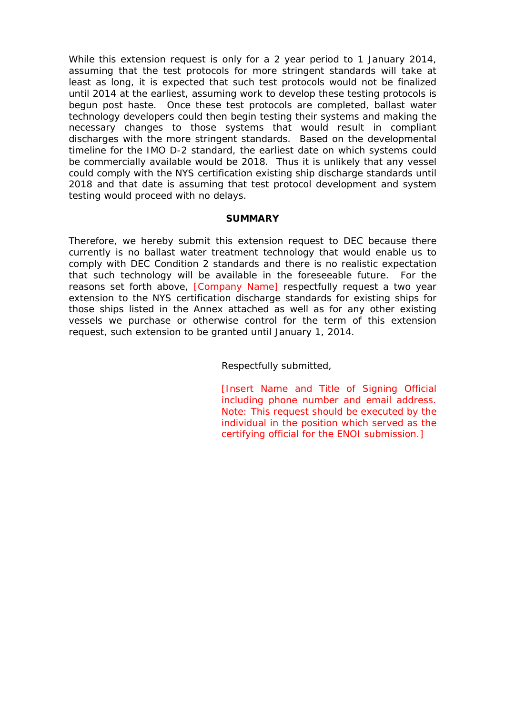While this extension request is only for a 2 year period to 1 January 2014, assuming that the test protocols for more stringent standards will take at least as long, it is expected that such test protocols would not be finalized until 2014 at the earliest, assuming work to develop these testing protocols is begun post haste. Once these test protocols are completed, ballast water technology developers could then begin testing their systems and making the necessary changes to those systems that would result in compliant discharges with the more stringent standards. Based on the developmental timeline for the IMO D-2 standard, the earliest date on which systems could be commercially available would be 2018. Thus it is unlikely that any vessel could comply with the NYS certification existing ship discharge standards until 2018 and that date is assuming that test protocol development and system testing would proceed with no delays.

#### **SUMMARY**

Therefore, we hereby submit this extension request to DEC because there currently is no ballast water treatment technology that would enable us to comply with DEC Condition 2 standards and there is no realistic expectation that such technology will be available in the foreseeable future. For the reasons set forth above, **[Company Name]** respectfully request a two year extension to the NYS certification discharge standards for existing ships for those ships listed in the Annex attached as well as for any other existing vessels we purchase or otherwise control for the term of this extension request, such extension to be granted until January 1, 2014.

Respectfully submitted,

[Insert Name and Title of Signing Official including phone number and email address. Note: This request should be executed by the individual in the position which served as the certifying official for the ENOI submission.]